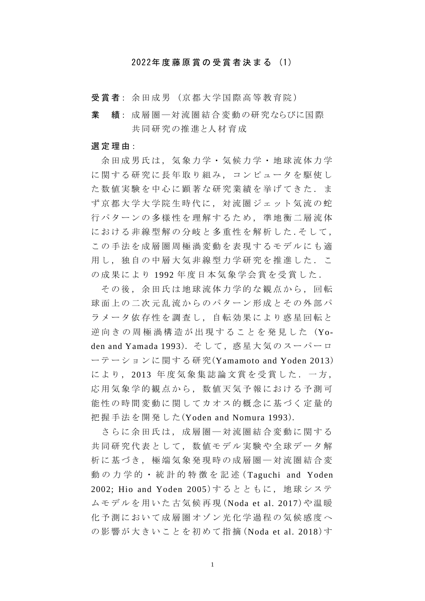## 2022年度藤原賞 の 受 賞 者 決 ま る (1)

受賞者: 余田成男 (京都大学国際高等教育院)

業 績: 成層圏 – 対流圏結合変動の研究ならびに国際 共同研究の推進と人材育成

## 選 定 理 由:

余田成男氏は,気象力学・気候力学・地球流体力学 に関する研究に長年取り組み, コンピュータを駆使し た数値実験を中心に顕著な研究業績を挙げてきた. ま ず 京 都 大 学 大 学 院 生 時 代 に , 対 流 圏 ジ ェ ッ ト 気 流 の 蛇 行パターンの多様性を理解するため, 準地衡二層流体 における非線型解の分岐と多重性を解析した.そして, この手法を成層圏周極渦変動を表現するモデルにも適 用し,独自の中層大気非線型力学研究を推進した.こ の成果により 1992年度日本気象学会賞を受賞した.

その後、余田氏は地球流体力学的な観点から、回転 球面上の二次元乱流からのパターン形成とその外部パ ラメータ依存性を調査し、自転効果により惑星回転と 逆 向 き の 周 極 渦 構 造 が 出 現 す る こ と を 発 見 し た (Yoden and Yamada 1993). そして, 惑星大気のスーパーロ ーテーションに関する研究 (Yamamoto and Yoden 2013) により, 2013 年度気象集誌論文賞を受賞した. 一方, 応用気象学的観点から, 数値天気予報における予測可 能性の時間変動に関してカオス的概念に基づく定量的 把握手法 を 開 発 し た (Yoden and Nomura 1993).

さらに余田氏は , 成 層 圏 ― 対 流 圏 結 合 変 動 に関する 共同研究代表として,数値モデル実験や全球データ解 析に基づき、極端気象発現時の成層圏一対流圏結合変 動の力学的·統計的特徴を記述 (Taguchi and Yoden 2002; Hio and Yoden 2005)するとともに、地球システ ムモデルを用い た 古 気候再現 (Noda et al. 2017)や温暖 化予測において成層圏オゾン光化学過程の気候感度へ の 影 響 が 大 き い こ と を 初 め て 指 摘 (Noda et al. 2018)す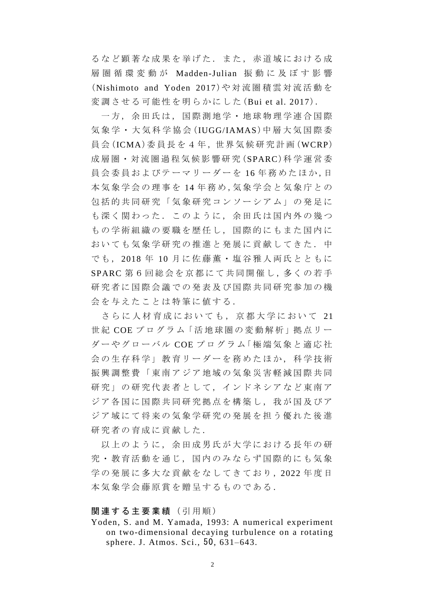るなど顕著な成果を挙げた. また, 赤道域における成 層 圏 循 環 変 動 が Madden-Julian 振 動 に 及 ぼ す 影 響 (Nishimoto and Yoden 2017 )や 対 流 圏 積 雲 対 流 活 動 を 変 調 させる 可 能 性 を 明らかにした (Bui et al. 2017).

一方,余田氏は,国際測地学・地球物理学連合国際 気象学・大気科学協会 (IUGG/IAMAS)中層大気国際委 員 会 (ICMA)委員長 を 4 年 ,世 界 気 候 研 究 計 画 (WCRP) 成 層 圏・対 流 圏 過 程 気 候 影 響 研 究 (SPARC)科学運営委 員会委員およびテーマリーダーを 16年務めたほか,日 本気象学会 の 理 事 を 14 年務め ,気象学会と気象庁との 包括的共同研究「 気象研究コンソーシアム 」の発足に も深く関わった. このように、余田氏は国内外の幾つ もの学術組織の要職を歴任し、国際的にもまた国内に おいても気象学研究の推進と発展に貢献してきた. 中 でも, 2018 年 10 月に佐藤薫 ・ 塩 谷 雅 人 両 氏 と ともに SPARC 第6回総会を京都にて共同開催し, 多くの若手 研究者に国際会議での発表及び国際共同研究参加の機 会を与えたことは特筆に値する.

さらに人材育成においても、京都大学において 21 世紀 COE プログラム「活地球圏の変動解析」拠点リー ダーやグローバル COEプログラム「極端気象と適応社 会の生存科学」教育リーダーを務めたほか, 科学技術 振興調整費「東南アジア地域の気象災害軽減国際共同 研究」の研究代表者として、インドネシアなど東南ア ジア各国に国際共同研究拠点を構築し、我が国及びア ジア域にて将来の気象学研究の発展を担う優れた後進 研究者の育成に貢献した.

以上のように、余田成男氏が大学における長年の研 究·教育活動を通じ、国内のみならず国際的にも気象 学の発展に多大な貢献をなしてきており, 2022年度日 本気象学会藤原賞を贈呈するものである.

## 関連する主要業績 (引用順)

Yoden, S. and M. Yamada, 1993: A numerical experiment on two-dimensional decaying turbulence on a rotating sphere. J. Atmos. Sci., 50, 631–643.